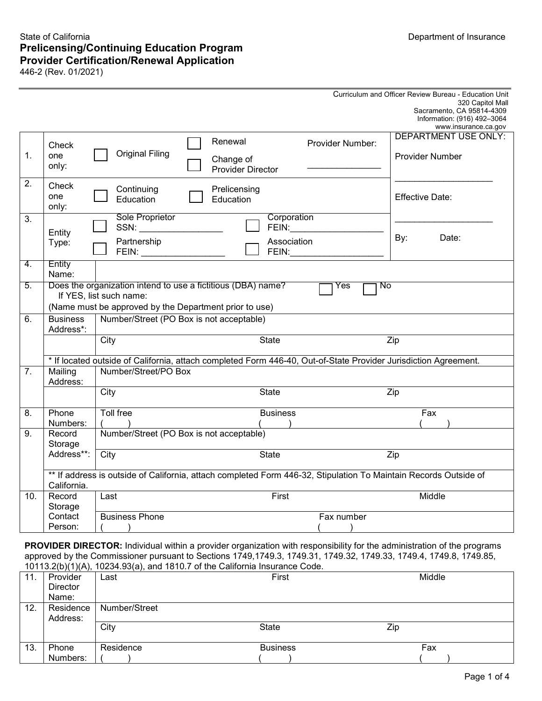# State of California **Prelicensing/Continuing Education Program Provider Certification/Renewal Application**

446-2 (Rev. 01/2021)

|                |                                                                                                                 |                                                                                                                                                                                                                                                                                                                                                                                                       |  |                           |                                                                                                                                                                                                                                |                  | Curriculum and Officer Review Bureau - Education Unit                                                            |
|----------------|-----------------------------------------------------------------------------------------------------------------|-------------------------------------------------------------------------------------------------------------------------------------------------------------------------------------------------------------------------------------------------------------------------------------------------------------------------------------------------------------------------------------------------------|--|---------------------------|--------------------------------------------------------------------------------------------------------------------------------------------------------------------------------------------------------------------------------|------------------|------------------------------------------------------------------------------------------------------------------|
|                |                                                                                                                 |                                                                                                                                                                                                                                                                                                                                                                                                       |  |                           |                                                                                                                                                                                                                                |                  | 320 Capitol Mall<br>Sacramento, CA 95814-4309                                                                    |
|                |                                                                                                                 |                                                                                                                                                                                                                                                                                                                                                                                                       |  |                           |                                                                                                                                                                                                                                |                  | Information: (916) 492-3064<br>www.insurance.ca.gov                                                              |
|                |                                                                                                                 |                                                                                                                                                                                                                                                                                                                                                                                                       |  |                           |                                                                                                                                                                                                                                |                  | <b>DEPARTMENT USE ONLY:</b>                                                                                      |
|                | Check                                                                                                           |                                                                                                                                                                                                                                                                                                                                                                                                       |  | Renewal                   |                                                                                                                                                                                                                                | Provider Number: |                                                                                                                  |
| 1.             | one                                                                                                             | <b>Original Filing</b>                                                                                                                                                                                                                                                                                                                                                                                |  | Change of                 |                                                                                                                                                                                                                                |                  | Provider Number                                                                                                  |
|                | only:                                                                                                           |                                                                                                                                                                                                                                                                                                                                                                                                       |  | <b>Provider Director</b>  |                                                                                                                                                                                                                                |                  |                                                                                                                  |
| 2.             | Check                                                                                                           |                                                                                                                                                                                                                                                                                                                                                                                                       |  |                           |                                                                                                                                                                                                                                |                  |                                                                                                                  |
|                | one                                                                                                             | Continuing<br>Education                                                                                                                                                                                                                                                                                                                                                                               |  | Prelicensing<br>Education |                                                                                                                                                                                                                                |                  | <b>Effective Date:</b>                                                                                           |
|                | only:                                                                                                           |                                                                                                                                                                                                                                                                                                                                                                                                       |  |                           |                                                                                                                                                                                                                                |                  |                                                                                                                  |
| 3.             |                                                                                                                 | Sole Proprietor                                                                                                                                                                                                                                                                                                                                                                                       |  |                           | Corporation                                                                                                                                                                                                                    |                  |                                                                                                                  |
|                | Entity                                                                                                          |                                                                                                                                                                                                                                                                                                                                                                                                       |  |                           | FEIN:                                                                                                                                                                                                                          |                  |                                                                                                                  |
|                | Type:                                                                                                           | Partnership                                                                                                                                                                                                                                                                                                                                                                                           |  |                           | Association                                                                                                                                                                                                                    |                  | By:<br>Date:                                                                                                     |
|                |                                                                                                                 | $\begin{picture}(20,10) \put(0,0){\dashbox{0.5}(5,0){ }} \put(15,0){\circle{1}} \put(15,0){\circle{1}} \put(15,0){\circle{1}} \put(15,0){\circle{1}} \put(15,0){\circle{1}} \put(15,0){\circle{1}} \put(15,0){\circle{1}} \put(15,0){\circle{1}} \put(15,0){\circle{1}} \put(15,0){\circle{1}} \put(15,0){\circle{1}} \put(15,0){\circle{1}} \put(15,0){\circle{1}} \put(15,0){\circle{1}} \put(15,0$ |  |                           | FEIN: The contract of the contract of the contract of the contract of the contract of the contract of the contract of the contract of the contract of the contract of the contract of the contract of the contract of the cont |                  |                                                                                                                  |
| 4.             | Entity                                                                                                          |                                                                                                                                                                                                                                                                                                                                                                                                       |  |                           |                                                                                                                                                                                                                                |                  |                                                                                                                  |
|                | Name:                                                                                                           |                                                                                                                                                                                                                                                                                                                                                                                                       |  |                           |                                                                                                                                                                                                                                |                  |                                                                                                                  |
| 5.             |                                                                                                                 | Does the organization intend to use a fictitious (DBA) name?<br>If YES, list such name:                                                                                                                                                                                                                                                                                                               |  |                           |                                                                                                                                                                                                                                | Yes<br>No        |                                                                                                                  |
|                |                                                                                                                 | (Name must be approved by the Department prior to use)                                                                                                                                                                                                                                                                                                                                                |  |                           |                                                                                                                                                                                                                                |                  |                                                                                                                  |
| 6.             | <b>Business</b>                                                                                                 | Number/Street (PO Box is not acceptable)                                                                                                                                                                                                                                                                                                                                                              |  |                           |                                                                                                                                                                                                                                |                  |                                                                                                                  |
|                | Address*:                                                                                                       |                                                                                                                                                                                                                                                                                                                                                                                                       |  |                           |                                                                                                                                                                                                                                |                  |                                                                                                                  |
|                |                                                                                                                 | City                                                                                                                                                                                                                                                                                                                                                                                                  |  |                           | <b>State</b>                                                                                                                                                                                                                   |                  | Zip                                                                                                              |
|                | * If located outside of California, attach completed Form 446-40, Out-of-State Provider Jurisdiction Agreement. |                                                                                                                                                                                                                                                                                                                                                                                                       |  |                           |                                                                                                                                                                                                                                |                  |                                                                                                                  |
| 7 <sub>1</sub> | Mailing                                                                                                         | Number/Street/PO Box                                                                                                                                                                                                                                                                                                                                                                                  |  |                           |                                                                                                                                                                                                                                |                  |                                                                                                                  |
|                | Address:                                                                                                        |                                                                                                                                                                                                                                                                                                                                                                                                       |  |                           |                                                                                                                                                                                                                                |                  |                                                                                                                  |
|                |                                                                                                                 | City                                                                                                                                                                                                                                                                                                                                                                                                  |  |                           | <b>State</b>                                                                                                                                                                                                                   |                  | Zip                                                                                                              |
| 8.             | Phone                                                                                                           | Toll free                                                                                                                                                                                                                                                                                                                                                                                             |  |                           | <b>Business</b>                                                                                                                                                                                                                |                  | Fax                                                                                                              |
|                | Numbers:                                                                                                        |                                                                                                                                                                                                                                                                                                                                                                                                       |  |                           |                                                                                                                                                                                                                                |                  |                                                                                                                  |
| 9.             | Record                                                                                                          | Number/Street (PO Box is not acceptable)                                                                                                                                                                                                                                                                                                                                                              |  |                           |                                                                                                                                                                                                                                |                  |                                                                                                                  |
|                | Storage                                                                                                         |                                                                                                                                                                                                                                                                                                                                                                                                       |  |                           |                                                                                                                                                                                                                                |                  |                                                                                                                  |
|                | Address**:                                                                                                      | City                                                                                                                                                                                                                                                                                                                                                                                                  |  |                           | <b>State</b>                                                                                                                                                                                                                   |                  | $\overline{Zip}$                                                                                                 |
|                |                                                                                                                 |                                                                                                                                                                                                                                                                                                                                                                                                       |  |                           |                                                                                                                                                                                                                                |                  | ** If address is outside of California, attach completed Form 446-32, Stipulation To Maintain Records Outside of |
|                | California.                                                                                                     |                                                                                                                                                                                                                                                                                                                                                                                                       |  |                           |                                                                                                                                                                                                                                |                  |                                                                                                                  |
| 10.            | Record                                                                                                          | Last                                                                                                                                                                                                                                                                                                                                                                                                  |  |                           | First                                                                                                                                                                                                                          |                  | Middle                                                                                                           |
|                | Storage                                                                                                         |                                                                                                                                                                                                                                                                                                                                                                                                       |  |                           |                                                                                                                                                                                                                                |                  |                                                                                                                  |
|                | Contact                                                                                                         | <b>Business Phone</b>                                                                                                                                                                                                                                                                                                                                                                                 |  |                           |                                                                                                                                                                                                                                | Fax number       |                                                                                                                  |
|                | Person:                                                                                                         |                                                                                                                                                                                                                                                                                                                                                                                                       |  |                           |                                                                                                                                                                                                                                |                  |                                                                                                                  |

PROVIDER DIRECTOR: Individual within a provider organization with responsibility for the administration of the programs approved by the Commissioner pursuant to Sections 1749,1749.3, 1749.31, 1749.32, 1749.33, 1749.4, 1749.8, 1749.85,<br>10113.2(b)(1)(A), 10234.93(a), and 1810.7 of the California Insurance Code.

|     |                 | $10110.2$ (b), $1117$ ), $10207.00(0)$ , and $1010.7$ or the Oamornia modiance Oode. |                 |        |
|-----|-----------------|--------------------------------------------------------------------------------------|-----------------|--------|
| 11. | Provider        | Last                                                                                 | First           | Middle |
|     | <b>Director</b> |                                                                                      |                 |        |
|     | Name:           |                                                                                      |                 |        |
| 12. | Residence       | Number/Street                                                                        |                 |        |
|     | Address:        |                                                                                      |                 |        |
|     |                 | City                                                                                 | State           | Zip    |
|     |                 |                                                                                      |                 |        |
| 13. | Phone           | Residence                                                                            | <b>Business</b> | Fax    |
|     | Numbers:        |                                                                                      |                 |        |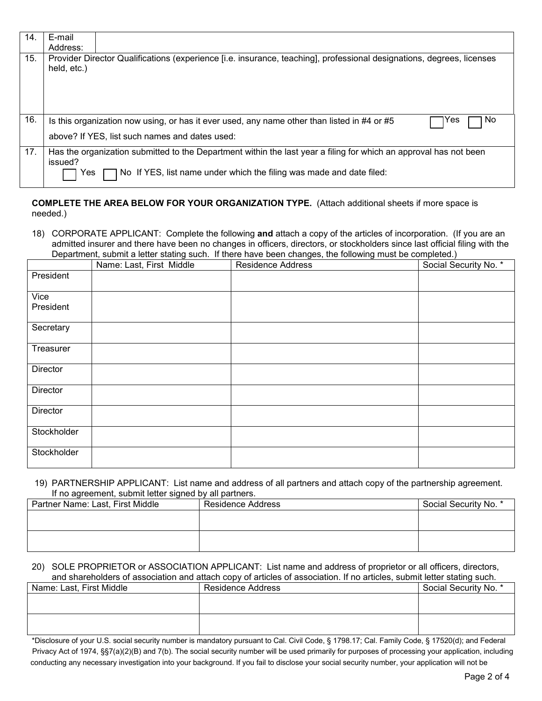| 14. | E-mail<br>Address: |                                                                                                                                                                                           |
|-----|--------------------|-------------------------------------------------------------------------------------------------------------------------------------------------------------------------------------------|
| 15. | held, etc.)        | Provider Director Qualifications (experience [i.e. insurance, teaching], professional designations, degrees, licenses                                                                     |
| 16. |                    | No.<br>1Yes<br>Is this organization now using, or has it ever used, any name other than listed in #4 or #5<br>above? If YES, list such names and dates used:                              |
| 17. | issued?<br>res     | Has the organization submitted to the Department within the last year a filing for which an approval has not been<br>No If YES, list name under which the filing was made and date filed: |

## **COMPLETE THE AREA BELOW FOR YOUR ORGANIZATION TYPE.** (Attach additional sheets if more space is needed.)

 18) CORPORATE APPLICANT: Complete the following **and** attach a copy of the articles of incorporation. (If you are an admitted insurer and there have been no changes in officers, directors, or stockholders since last official filing with the Department, submit a letter stating such. If there have been changes, the following must be completed.)

|                   | Name: Last, First Middle | <u>– characterit care era cannot care di anno un concerne compressore care und concerne care le care di anno 20</u><br><b>Residence Address</b> | Social Security No. * |
|-------------------|--------------------------|-------------------------------------------------------------------------------------------------------------------------------------------------|-----------------------|
| President         |                          |                                                                                                                                                 |                       |
| Vice<br>President |                          |                                                                                                                                                 |                       |
| Secretary         |                          |                                                                                                                                                 |                       |
| Treasurer         |                          |                                                                                                                                                 |                       |
| Director          |                          |                                                                                                                                                 |                       |
| Director          |                          |                                                                                                                                                 |                       |
| Director          |                          |                                                                                                                                                 |                       |
| Stockholder       |                          |                                                                                                                                                 |                       |
| Stockholder       |                          |                                                                                                                                                 |                       |

#### If no agreement, submit letter signed by all partners. 19) PARTNERSHIP APPLICANT: List name and address of all partners and attach copy of the partnership agreement.

| Partner Name: Last, First Middle | Residence Address | Social Security No. * |
|----------------------------------|-------------------|-----------------------|
|                                  |                   |                       |
|                                  |                   |                       |
|                                  |                   |                       |
|                                  |                   |                       |

## 20) SOLE PROPRIETOR or ASSOCIATION APPLICANT: List name and address of proprietor or all officers, directors, and shareholders of association and attach copy of articles of association. If no articles, submit letter stating such.

|                          | <u>and allowated at monographic mine allowsitively at anthological monographic in the anthological amalities along the all</u> |                       |
|--------------------------|--------------------------------------------------------------------------------------------------------------------------------|-----------------------|
| Name: Last, First Middle | <b>Residence Address</b>                                                                                                       | Social Security No. * |
|                          |                                                                                                                                |                       |
|                          |                                                                                                                                |                       |
|                          |                                                                                                                                |                       |
|                          |                                                                                                                                |                       |

\*Disclosure of your U.S. social security number is mandatory pursuant to Cal. Civil Code, § 1798.17; Cal. Family Code, § 17520(d); and Federal Privacy Act of 1974, §§7(a)(2)(B) and 7(b). The social security number will be used primarily for purposes of processing your application, including conducting any necessary investigation into your background. If you fail to disclose your social security number, your application will not be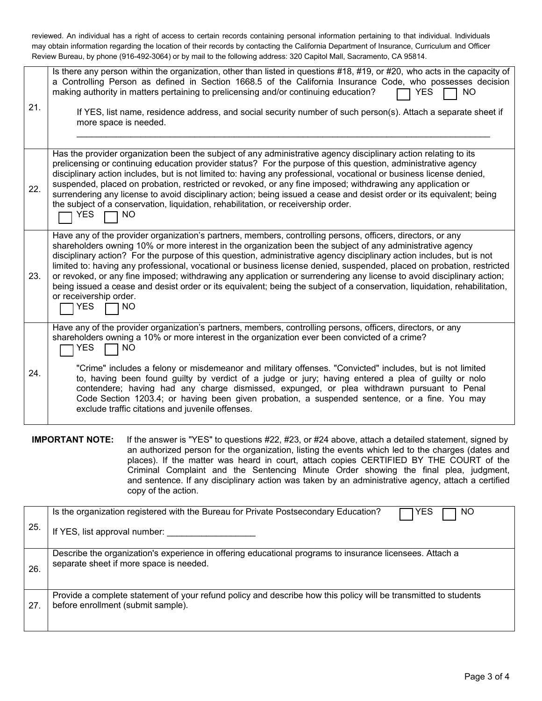reviewed. An individual has a right of access to certain records containing personal information pertaining to that individual. Individuals may obtain information regarding the location of their records by contacting the California Department of Insurance, Curriculum and Officer Review Bureau, by phone (916-492-3064) or by mail to the following address: 320 Capitol Mall, Sacramento, CA 95814.

| 21. | Is there any person within the organization, other than listed in questions #18, #19, or #20, who acts in the capacity of<br>a Controlling Person as defined in Section 1668.5 of the California Insurance Code, who possesses decision<br>making authority in matters pertaining to prelicensing and/or continuing education?<br><b>YES</b><br><b>NO</b><br>If YES, list name, residence address, and social security number of such person(s). Attach a separate sheet if<br>more space is needed.                                                                                                                                                                                                                                                                               |
|-----|------------------------------------------------------------------------------------------------------------------------------------------------------------------------------------------------------------------------------------------------------------------------------------------------------------------------------------------------------------------------------------------------------------------------------------------------------------------------------------------------------------------------------------------------------------------------------------------------------------------------------------------------------------------------------------------------------------------------------------------------------------------------------------|
| 22. | Has the provider organization been the subject of any administrative agency disciplinary action relating to its<br>prelicensing or continuing education provider status? For the purpose of this question, administrative agency<br>disciplinary action includes, but is not limited to: having any professional, vocational or business license denied,<br>suspended, placed on probation, restricted or revoked, or any fine imposed; withdrawing any application or<br>surrendering any license to avoid disciplinary action; being issued a cease and desist order or its equivalent; being<br>the subject of a conservation, liquidation, rehabilitation, or receivership order.<br><b>YES</b><br><b>NO</b>                                                                   |
| 23. | Have any of the provider organization's partners, members, controlling persons, officers, directors, or any<br>shareholders owning 10% or more interest in the organization been the subject of any administrative agency<br>disciplinary action? For the purpose of this question, administrative agency disciplinary action includes, but is not<br>limited to: having any professional, vocational or business license denied, suspended, placed on probation, restricted<br>or revoked, or any fine imposed; withdrawing any application or surrendering any license to avoid disciplinary action;<br>being issued a cease and desist order or its equivalent; being the subject of a conservation, liquidation, rehabilitation,<br>or receivership order.<br><b>YES</b><br>NO |
| 24. | Have any of the provider organization's partners, members, controlling persons, officers, directors, or any<br>shareholders owning a 10% or more interest in the organization ever been convicted of a crime?<br><b>YES</b><br><b>NO</b>                                                                                                                                                                                                                                                                                                                                                                                                                                                                                                                                           |
|     | "Crime" includes a felony or misdemeanor and military offenses. "Convicted" includes, but is not limited<br>to, having been found guilty by verdict of a judge or jury; having entered a plea of guilty or nolo<br>contendere; having had any charge dismissed, expunged, or plea withdrawn pursuant to Penal<br>Code Section 1203.4; or having been given probation, a suspended sentence, or a fine. You may<br>exclude traffic citations and juvenile offenses.                                                                                                                                                                                                                                                                                                                 |
|     | $\sim 2500$ in the correction of $\sim$<br>$\mu$ 00 $\mu$ 00 as $\mu$ 04 abaya attach a datailad ata                                                                                                                                                                                                                                                                                                                                                                                                                                                                                                                                                                                                                                                                               |

 **IMPORTANT NOTE:** If the answer is "YES" to questions #22, #23, or #24 above, attach a detailed statement, signed by an authorized person for the organization, listing the events which led to the charges (dates and places). If the matter was heard in court, attach copies CERTIFIED BY THE COURT of the Criminal Complaint and the Sentencing Minute Order showing the final plea, judgment, and sentence. If any disciplinary action was taken by an administrative agency, attach a certified copy of the action.

| 25. | Is the organization registered with the Bureau for Private Postsecondary Education?<br><b>YES</b><br>NO<br>If YES, list approval number:              |
|-----|-------------------------------------------------------------------------------------------------------------------------------------------------------|
| 26. | Describe the organization's experience in offering educational programs to insurance licensees. Attach a<br>separate sheet if more space is needed.   |
| 27. | Provide a complete statement of your refund policy and describe how this policy will be transmitted to students<br>before enrollment (submit sample). |